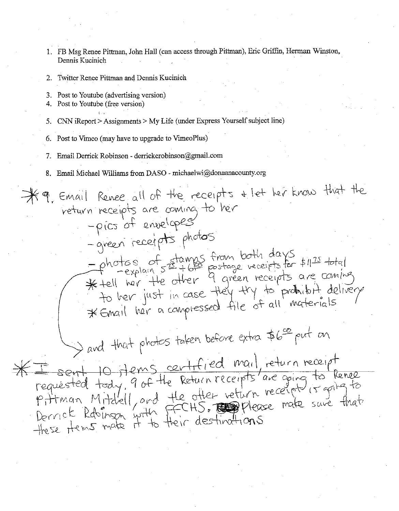- 1. FB Msg Renee Pittman, John Hall (can access through Pittman), Eric Griffin, Herman Winston, Dennis Kucinich
- 2. Twitter Renee Pittman and Dennis Kucinich
- 3. Post to Youtube (advertising version)
- 4. Post to Youtube (free version)
- 5. CNN iReport >Assignments> My Life (under Express Yourself subject line)
- 6. Post to Vuneo (may have to upgrade to VimeoPlus)
- 7. Email Derrick Robinson derrickcrobinson@gmail.com
- 8. Email Michael Williams from DASO michaelwi@donaanacounty.org

 $~9$ , Email Renee all of the receipts  $~$ + let her know that the  $\hspace{0.2cm}$  veturn receipts are coming to her -pics of envelopes -green receipts photos  $h_{\alpha}$ tes of stamps from both days  $h_{\alpha}$  . -photos of stamps trom both as it fil<sup>25</sup> total<br>\* tell her. the other 9 green receipts are coming fer ner just in case they try to probabit delivery \* Engl her a complessed file of all materials and that photos taken before extra  $56$  put on<br> $*F$  sent 10 Hems centrfied mail return receipt  $E$  sont 10 flems centrified mail, return receipt  $\frac{\perp}{\qquad}$  sent 10 f *1* fems certificated to tenee requested foat. I've the other vettern receipt is going to<br>Pritman Mitchell, and the other vettern receipt is going to Derrich kaolison with their destinations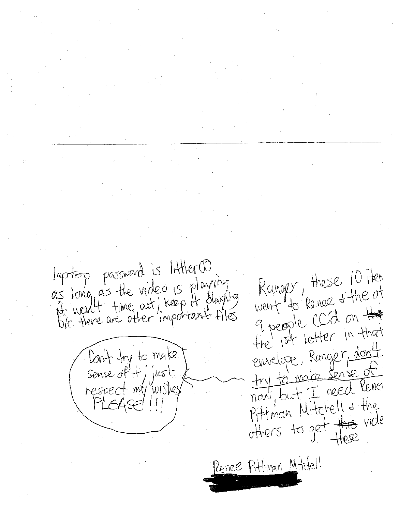laptop password is littler 00 Kanger, these 10 Ften as long as the video is playing went to kenee + the of 9 people CCd on Hat envelope, Ranger, dont Don't try to make<br>Sense of it, just<br>respect my wished try to make sense of now, but I reed Rever Pittman Mitchell + the others to get this vide Penee Pittman Mitclell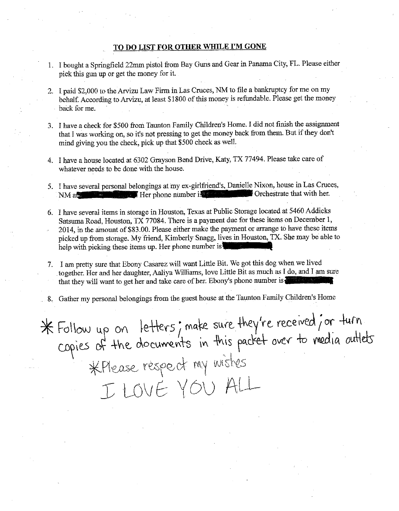## TO DO LIST FOR OTHER WHILE I'M GONE

- I. I bought a Springfield 22mm pistol from Bay Guns and Gear in Panama City, FL. Please either pick this gun up or get the money for it.
- 2. I paid \$2,000 to the Arvizu Law Firm in Las Cruces, NM to file a bankruptcy for me on my behalf. According to Arvizu, at least \$1800 of this money is refundable. Please get the money back for me.
- 3. I have a check for \$500 from Taunton Family Children's Home. I did not finish the assignment that I was working on, so it's not pressing to get the money back from them. But if they don't mind giving you the check, pick up that \$500 check as well.
- 4. I have a house located at 6302 Grayson Bend Drive, Katy, TX 77494. Please take care of whatever needs to be done with the house.
- 5. I have several personal belongings at my ex-girlfriend's, Danielle Nixon, house in Las Cruces, NM at that with her. Her phone number is constructed by Orchestrate that with her.
- 6. I have several items in storage in Houston, Texas at Public Storage located at 5460 Addicks Satsuma Road, Houston, TX 77084. There is a payment due for these items on December l, 2014, in the amount of \$83.00. Please either make the payment or arrange to have these items picked up from storage. My friend, Kimberly Snagg, lives in Houston, TX. She may be able to help with picking these items up. Her phone number is
- 7. I am pretty sure that Ebony Casarez will want Little Bit. We got this dog when we lived together. Her and her daughter, Aaliya Williams, love Little Bit as much as I do, and I am sure that they will want to get her and take care of her. Ebony's phone number is
- 8. Gather my personal belongings from the guest house at the Taunton Family Children's Home

\* Follow up on letters; make sure they're received; or turn  $\epsilon$  poies of the documents in this packet over to media outlets \*Please respect my wishes I LOVE YOU ALL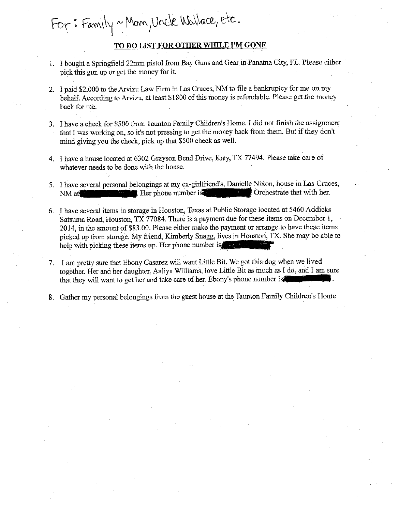## **TO DO** LIST **FOR OTHER WHILE I'M GONE**

For: Family ~ Mom, Uncle Wallace, etc.

- 1. I bought a Springfield 22mm pistol from Bay Guns and Gear in Panama City, FL Please either pick this gun up or get the money for it.
- 2. I paid \$2,000 to the Arvizu Law Firm in Las Cruces, NM to file a bankruptcy for me on my behalf. According to Arvizu, at least \$1800 of this money is refundable. Please get the money back for me.
- 3. I have a check for \$500 from Taunton Family Children's Home. I did not finish the assignment that I was working on, so it's not pressing to get the money back from them. But if they don't mind giving you the check, pick up that \$500 check as well.
- 4. I have a house located at 6302 Grayson Bend Drive, Katy, TX 77494. Please take care of whatever needs to be done with the house.
- 5. I have several personal belongings at my ex-girlfriend's, Danielle Nixon, house in Las Cruces, NM at  $\blacksquare$  Her phone number is  $\blacksquare$  Orchestrate that with her.
- 6. I have several items in storage in Houston, Texas at Public Storage located at 5460 Addicks Satsuma Road, Houston, TX 77084. There is a payment due for these items on December 1, 2014, in the amount of \$83.00. Please either make the payment or arrange to have these items picked up from storage. My friend, Kimberly Snagg, lives in Houston, TX. She may be able to help with picking these items up. Her phone number is.
- 7. I am pretty sure that Ebony Casarez will want Little Bit. We got this dog when we lived together. Her and her daughter, Aaliya Williams, love Little Bit as much as I do, and I am sure that they will want to get her and take care of her. Ebony's phone number i
- 8. Gather my personal belongings from the guest house at the Taunton Family Children's Home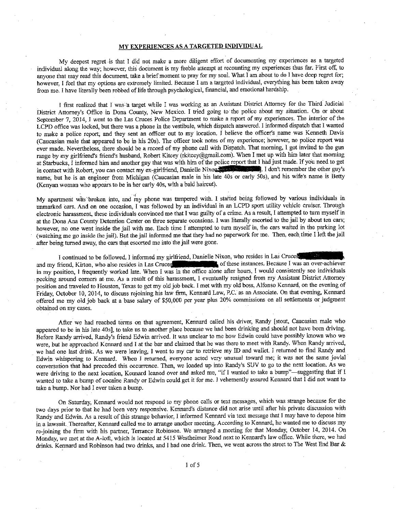### MY EXPERIENCES AS A TARGETED INDIVIDUAL

My deepest regret is that I did not make a more diligent effort of documenting my experiences as a targered individual along the way; however, this document is my feeble attempt at recounting my experiences thus far. First off, to anyone that may read this document, take a brief moment to pray for my soul. What I am about to do I have deep regret for; **however, I feel that my options are extremely limited. Because I am a targeted individual, everything has been taken away**  from me. I have literally been robbed of life through psychological, financial, and emotional hardship.

I first realized that I was a target while I was working as an Assistant District Attorney for the Third Judicial District Attorney's Office in Dona County, New Mexico. I tried going to the police about my situation. On or about September 7, 2014, I went to the Las Cruces Police Department to make a report of my experiences. The interior of the LCPD office was locked, but there was a phone in the vestibule, whlch dispatch answered. I informed dispatch that I wanted to make a police report, and they sent an officer out to my location. I believe the officer's name was Kenneth Davis (Caucasian male that appeared to be in hls 20s). The officer took notes of my experience; however, no police report was ever made. Nevertheless, there should be a record of my phone call with Dispatch. That morning, I got invited to the gun range by my girlfriend's friend's husband, Robert Kitcey (rkitcey@gmail.com). When I met up with him later that morning at Starbucks, I informed him and another guy that was with him of the police report that I had just made. If you need to get in contact with Robert, you can contact my ex-girlfriend, Danielle Nixon **1**, I don't remember the other guy's name, but he is an engineer from Michigan (Caucasian male in his late 40s or early 50s), and his wife's name is Betty (Kenyan woman who appears to be in her early 40s, with a bald haircut).

My apartment was broken into, and my phone was tampered with. I started being followed by various individuals in unmarked cars. And on one occasion, I was followed by an individual in an LCPD sport utility vehicle cruiser. Through electronic harassment, these individuals convinced me that I was guilty of a crime. As a result, I attempred to torn myself in at the Dona Ana County Detention Center on three separate occasions. l was literally escotted to the jail by aboot ten cars; however, no one went inside the jail with me. Each time I attempted to turn myself in, the cars waited in the parking lot (watching me go inside the jail). But the jail informed me that they had no paperwork for me. Then, each time I left the jail after being turned away, the cars that escorted me into the jail were gone.

I continued to be followed. I informed my girlfriend, Danielle Nixon, who resides in Las Cruces and Triend, Kirton, who also resides in Las Cruces **in Las Cruce and Las Cruce and Las Cruce** and Triend, Kirton, who also res and my friend, Kirton, who also resides in Las Cruces. in my position, l frequently worked late. When I was in the office alone after hours, I would consistently see individuals peeking around corners at me. As a result of this harassment, I eventually resigned from my Assistant District Attorney position and traveled to Houston, Texas to get my old job back. I met with my old boss, Alfonso Kennard, on the evening of Friday, October 10, 2014, to discuss rejoining his law firm, Kennard Law, P.C. as an Associate. On that evening, Kennard offered me my old job back at a base salary of \$50,000 per year plus 20% commissions on all settlements or judgment obtained on my cases.

After we had reached terms on that agreement, Kennard called his driver, Randy [stout, Caucasian male who appeared to be in his late 40s], to take us to another place because we had been drinking and should not have been driving. Before Randy arrived, Randy's friend Edwin arrived. It was uoclear to me how Edwin could have possibly known who we were, but he approached Kennard and I at the bar and claimed that he was there to meet with Randy. When Randy arrived, we had one last drink. As we were leaving, I went to my car to retrieve my ID and wallet. I returned to find Randy and **Edwin whispering to Kennard. When I returned, everyone acted very unusual toward me; it was not the same jovial**  conversation that had preceded this occurrence. Then, we loaded up into Randy's SUV to go to the next location. As we were driving to the next location, Kennard leaned over and asked me, "if I wanted to take a bump"-suggesting that if I wanted to take a bump of cocaine Randy or Edwin could get it for me. I vehemently assured Kennard that I did not want to take a bump. Nor had I ever taken a bump.

On Saturday, Kennard would not respond to my phone calls or text messages, which was strange because for the two days prior to that he had been very responsive. Kennard's distance did not arise until after his private discussion with Randy and Edwin. As a result of this strange behavior, I informed Kennard via text message that I may have to depose him in a lawsuit. Thereafter, Kennard called me to arrange another meeting. According to Kennard, he wanted me to discuss my re-joining the firm with his partner, Terrance Robinson. We arranged a meeting for that Monday, October 14, 2014. On **Monday, we met at the A~loft, which is located at 5415 Westheimer Road next to Kennard's law office. \Vhile there, we had**  drinks. Kennard and Robinson had two drinks, and I had one drink. Then, we went across the street to The West End Bar &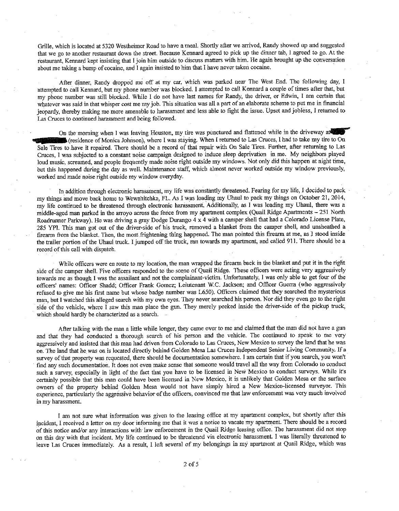Grille, which is located at 5320 Westheimer Road to have a meal. Shortly after we arrived, Randy showed up and suggested that we go to another restaurant down the street. Because Kennard agreed to pick up the dinner tab, I agreed to go. At the **restaurant, Kennard kept insisting that I join him outside to discuss matters with him. He again brought up the conversation**  about me taking a bump of cocaine, and I again insisted to him that I have never taken cocaine.

After dinner, Randy dropped me off at my car, which was parked near The West End. The following day, I attempted to call Kennard, but my phone number was blocked. I attempted to call Kennard a couple of times after that, but my phone number was still blocked. While I do not have last names for Randy, the driver, or Edwin, I am certain that **whatever was said in that whisper cost me my job. This situation was all a part of an elaborate scheme to put me in financial**  jeopardy, thereby making me more amenable to harassment ard less able to fight the issue. Upset and jobless, I returned to **Las Cruces to continued harassment and being followed.** 

On the morning when I was leaving Houston, my tire was punctured and flattened while in the driveway at f (residence of Monica Johnson), where I was staying. When I returned to Las Cruces, I had to take my tire to On Sale Tires to have it repaired. There should be a record of that repair with On Sale Tires. Further, after returning to Las Cruces, I was subjected to a constant noise campaign designed to induce sleep deprivation in me. My neighbors played loud music, screamed, and people frequently made noise right outside my windows. Not only did this happen at night time, but this happened during the day as well. Maintenance staff, which almost never worked outside my window previously, worked ard made noise right outside my window everyday.

In addition through electronic harassment, my life was constantly threatened. Fearing for my life, I decided to pack my things and move back home to Wewahitchka, FL. As I was loading my Uhaul to pack my things on October 21, 2014, my life continued to be threatened through electronic harassment. Additionally, as I was loading my Uhaul, there was a middle-aged man parked in the arroyo across the fence from my apartment complex (Quail Ridge Aparttnents - 251 North Roadrunner Parkway). He was driving a gray Dodge Durango 4 x 4 with a camper shell that had a Colorado License Plate, 285 YPI. This man got out of the driver-side of his truck, removed a blanket from the camper shell, and unsheathed a firearm from the blanket. Then, the most frightening thing happened. The man pointed this firearm at me, as I stood inside the trailer portion of the Uhaul truck. I jumped off the truck, ran towards my apartment, and called 911. There should be a record of this call with dispatch.

While officers were en route to my location, the man wrapped the firearm back in the blanket aud put it in the right **side of the camper shell. Five officers responded to the scene of Quail Ridge. These officers were acting very aggressively**  towards me as though I was the assailant and not the complainaut-victim. Unfortunately, I was only able to get four of the officers' names: Officer Shadd; Officer Frank Gomez; Leiutenant W.C. Jackson; and Officer Guerra (who aggressively refused to give me bis first name but whose badge number was L650). Officers claimed that they searched the mysterious man, but I watched this alleged search with my own eyes. They never searched his person. Nor did they even go to the right side of the vehicle, where I saw this man place the gun. They merely peeked inside the driver-side of the pickup truck, which should hardly be characterized as a search.

After talking with the man a little while longer, they came over to me and claimed that the man did not have a gun and that they had conducted a thorough search of his person ard the vehicle. The continued to speak to me very aggressively and insisted that this man had driven from Colorado to Las Cruces, New Mexico to survey the land that he was on. The land that he was on is located directly behind Golden Mesa Las Cruces Independent Senior Living Community. If a survey of that property was requested, there should be documentation somewhere. I am certain that if you search, you won't fmd any such documentation. It does not even make sense that someone would travel all the way from Colorado to conduct such a survey, especially in light of the fact that you have to be licensed in New Mexico to conduct surveys. While it's certainly possible that this man could have been licensed in New Mexico, it is unlikely that Golden Mesa or the surface owners of the property behind Golden Mesa would not have simply hired a New Mexico-licensed surveyor. This experience, particularly the aggressive behavior of the officers, convinced me that law enforcement was very much involved **in my harassment.** 

I am not sure what information was given to the leasing office at my apartment complex, but shortly after this incident, I received a letter on my door informing me that it was a notice to vacate my apartment. There should be a record **of this notice and/or any interactions with· law enforceinent in the Quail Ridge leasing office. The harassment did not stop**  on this day with that incident. My life continued to be threatened via electronic harassment. I was literally threatened to leave Las Cruces immediately. As a result, I left several of my belongings in my apartment at Quail Ridge, which was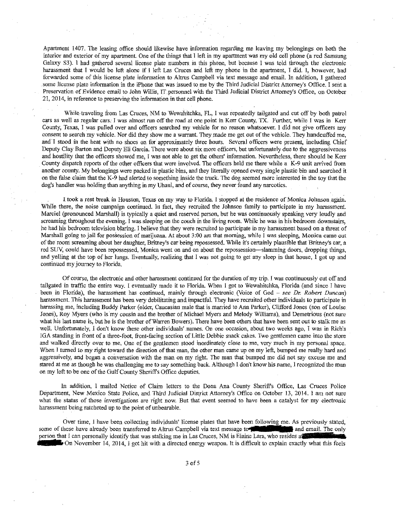Apartment 1407. The leasing office should likewise have information regarding me leaving my belongings on both the interior and exterior of my apartment. One of the things that I left in my apartment was my old cell phone (a red Samsung Galaxy S3). I had gathered several license plate numbers in this phone, but because I was told through the electronic harassment that I would be left alone if I left Las Cruces and left my phone in the apartment, I did. I, however, had forwarded some of this license plate information to Altrus Campbell via text message and email. In addition, I gathered \_ **some license plate information in the iPhone that was issued to me by the Third Judicial District Attorney's Office. I sent a**  Preservation of Evidence email to John Willis, IT personnel with the Third Judicial District Attorney's Office, on October **21, 2014, in reference to preserving the information in that cell phone.** 

While·traveling from Las Cruces, NM to Wewahitchka, FL, I was repeatedly tailgated and cut off by both patrol **cars as weH as regular cars: I was almost run off the road at one point in Kerr County, TX. Further, while I was in Kerr**  County, Texas, I was pulled over and officers searched my vehicle for no reason whatsoever. I did not give officers any consent to search my vehicle. Nor did they show me a warrant. They made me get out of the vehicle. They handcuffed me, and I stood in the heat with no shoes on for approximately three hours. Several officers were present, including Chief Deputy Clay Batton and Deputy Eli Garcia. There were about six more officers, but unfottunately due to the aggressiveness and hostility that the officers showed me, I was not able to get the others' information. Nevertheless, there should be Kerr County dispatch reports of the other officers that were involved. The officers held me there while a K-9 unit arrived from another county. My belongings were packed in plastic bins, and they literally opened every single plastic bin and searched it on the false claim that the K-9 had alerted to something inside the truck. The dog seemed more interested in the toy that the dog's handler was holding than anything in my Uhaul, and of course, they never found any narcotics.

! took a rest break in Houston, Texas on my way to Florida l stopped at the residence of Monica Johnson again. While there, the noise campaign continued. In fact, they recruited the Johnson family to participate in my harassment. Marciel (pronounced Marshall) is typically a quiet and reserved person, but he was continuously speaking very loudly and **screaming throughout the evening. 1 was sleeping on the couch in the living room. While he was in his bedroom downstairs,**  he had his bedroom television blaring. I believe that they were recruited to participate in my harassment based on a threat of Marshall going to jail for possession of marijuana. At about 3:00 am that morning, while I was sleeping, Monica came out of the room screaming about her daughter, Britney's car being repossessed. While it's certainly plausible that Britney's car, a red SUV, could have been repossessed, Monica went on and on about the repossession--slamming doors, dropping things, and yelling at the top of her lungs. Eventually, realizing that I was not going to. get any sleep in that house, I got up and continued my journey to Florida.

**Of course, the electronic and other harassment colltinued for the duration of my trip. I was continuously cut off and**  tailgated in traffic the entire way. I eventually made it to Florida Wben I got to Wewahitchka, Florida (and since I have been in Florida), the harassment has continued, mainly through electronic (Voice of God - *see Dr. Robert Duncan)*  harassment. This harassment has been very debilitating and impactful. They have recruited other individuals to participate in harassing me, including Buddy Parker (older, Caucasian male that is married to Ann Parker), Clifford Jones (son of Louise Jones), Roy Myers (who is my cousin and the brother of Michael Myers and Melody Williams), and Demetrious (not sure what his last name is, but be is the brother of Warren Bowers). There have been others that have been sent out to stalk me as well. Unfortunately, I don't know these other individuals' names. On one occasion, about two weeks ago, I was in Rich's !GA standing in front of a three-foot, front-facing section of Little Debbie snack cakes. Two gentlemen came into the store and walked directly over to me. One of the gentlemen stood inordinately close to me, very much in my personal space. When I turned to my right toward the direction of that man, the other man came up on my left, bumped me really hard and aggressively, and began a conversation with the man on my right. The man that bumped me did not say excuse me and stared at me as though he was challenging me to say something back. Although I don't know bis name, I recognized the man on my left to be one of the Gulf County Sheriffs Office deputies.

In addition, I mailed Notice of Claim letters to the Dona Ana County Sheriffs Office, Las Cruces Police Department, New Mexico State Police, and Third Judicial District Attorney's Office on October 13, 2014. 1 am not sure **what the status of those investigations are right now. But that event seemed to have been a catalyst for my electronic**  harassment being ratcheted up to the point of unbearable.

**Over time, I have been collecting individuals' license plates that have been following me. As previously stated,**  some of these have already been transferred to Altrus Campbell via text message to **and all and email.** The only **person that I can personally identify that was stalking me in Las Cruces, NM is Elaine Lara, who resides at**  $\bullet$  On November 14, 2014, I got hit with a directed energy weapon. It is difficult to explain exactly what this feels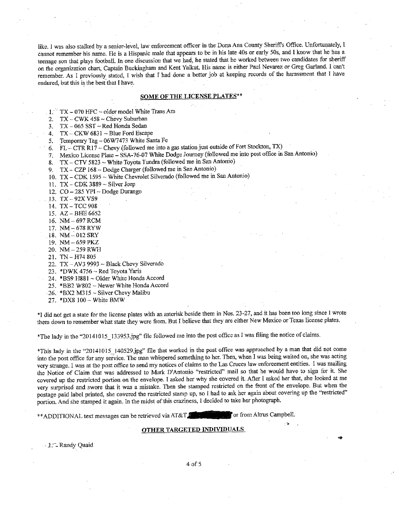like. l was also stalked by a senior-level, law enforcement officer in the Dona Ana Connty Sheriffs Office. Unfortunately, I cannot remember his name. He is a Hispanic male that appears to be in his late 40s or early 50s, and I know that he has a teenage son that plays football. In one discussion that we had, he stated that be worked between two candidates for sheriff on the organization chart, Captain Buckingham and Kent Yalkut. His name is either Paul Nevarez or Greg Garland. I can't remember. As I previously stated, I wish that l had done a better job at keeping records of the harassment that I have endured, but this is the best that I have.

#### SOME OF THE LICENSE PLATES

 $1.^{14}$  TX - 070 HFC ~ older model White Trans Am

2. TX - CWK  $458 \sim$  Chevy Suburban

3. TX-065 SST- Red Honda Sedan

4.  $TX - CKW 6831 \sim Blue$  Ford Escape

*5.* Temporary Tag- 06W7473 White Santa Fe

6. FL - CTR R17 ~ Chevy (followed me into a gas station just outside of Fort Stockton, TX)

7. Mexico License Plate - SSA· 76-07 White Dodge Journey (followed me into post office in San Antonio)

8.  $TX - CTV 5823 \sim$  White Toyota Tundra (followed me in San Antonio)

9. TX - CZP 168 ~ Dodge Charger (followed me in San Antonio)

IO. TX-CDK 1595 -White Chevrolet Silverado (followed me in San Antonio)

11. TX - CDK 3889 - Silver Jeep

12. CO - 285 YPI ~ Dodge Durango

13. TX-92X VS9

14. TX-TCC 908

15.  $AZ - BHE 6652$ 

16. NM-697RCM

17. NM-678RYW

18. NM-012 SRY

19. NM-659PKZ

20. NM-259 RWH

21. TN-H74 805

22. TX - AV3 9993 ~ Black Chevy Silverado

23. \*DWK 4756  $\sim$  Red Toyota Yaris

24. \*BS9 H881 ~ Older White Honda Accord

25. \*BB2 W802 ~ Newer White Honda Accord

· 26. \*BX2 M315 - Silver Chevy Malibu

27. \*DX8 100 - White BMW

\*I did not get a state for the license plates with an asterisk beside them in Nos. 23-27, and it has been too long since l wrote **them down to remember what state they were from. But I believe that they are either New Mexico or Texas license plates.** 

\*The lady in the "20141015 133953<sub>sl</sub>ipg" file followed me into the post office as I was filing the notice of claims.

\*This lady in the "201410!5\_140529jpg" file that worked in the post office was approached by a man that did not come into the post office for any service. The man whispered something to her. Then, when I was being waited on, she was acting **very strange. I was at the post office to send my notices of claims to the Las Cruces law enforcement entities. I was mailing**  the Notice of Claim that was addressed to Mark D'Antonio "restricted" mail so that he would have to sign for it. She covered up the restricted portion on the envelope. I asked her why she covered it. After I asked her that, she looked at me very surprised and swore that it was a mistake. Then she stamped restricted on the front of the envelope. But when the postage paid label printed, she covered the restricted stamp up, so I had to ask her again about covering up the "restricted" portion. And sbe stamped it again. In the midst of this craziness, 1 decided to take her photograph.

\*\* ADDITIONAL text messages can be retrieved via AT&T. Or from Altrus Campbell.

#### OTHER TARGETED INDIVIDUALS

. J .'·. Randy Quaid

4 of 5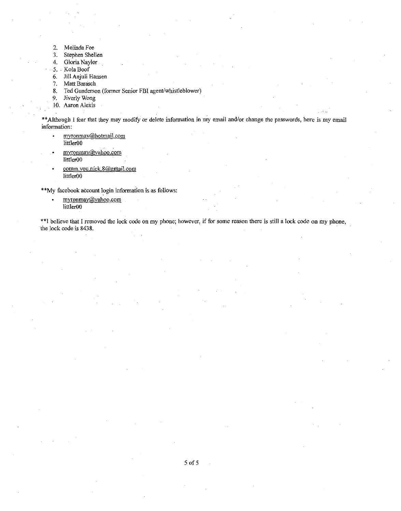- 2. Melinda Fee
- 3. Stephen Shellen
- 4. Gloria Naylor
- 5 .. KolaBoof
- 6. Jill Anjuli Hansen
- 7. Matt Barasch
- 8. Ted Gunderson (former Senior FBI agent/whistleblower)
- 9. Jiverly Wong
- 10. Aaron Alexis

\*\* Although I fear that they may modify or delete information in my email and/or change the passwords, here is my email **information:** 

- **myronrnay@.hotmaiLcom**  littler00
- **myronmay@yahoo.com**  littlerOO
- comm.you.nick.8@gmail.com littlerOO

\*\*My facebook account login information is as follows:

**myronmay@yahoo.com**   $\bullet$ JittlerOO

\*\*I believe that I removed the lock code on my phone; however, if for some reason there is still a lock code on my phone, the lock code is 8438.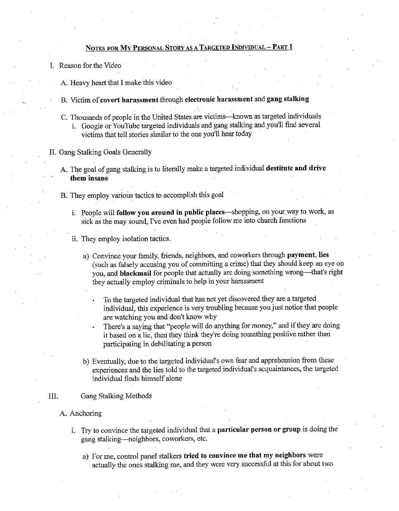## NOTES FOR MY PERSONAL STORY AS A TARGETED INDIVIDUAL - PART 1

- I. Reason for the Video
	- A. Heavy heart that I make this video
	- B. Victim of covert harassment through electronic harassment and gang stalking
	- C. Thousands of people in the United States are victims-known as targeted individuals 1. Google or You Tube targeted individuals and gang stalking and you'll find several victims that tell stories similar to the one you'll hear today
- II. Gang Stalking Goals Generally
	- A. The goal of gang stalking is to literally make a targeted individual destitute and drive them insane
	- B. They employ various tactics to accomplish this goal
		- i. People will follow you around in public places—shopping, on your way to work, as sick as the may sound, I've even had people follow me into church functions
		- ii. They employ isolation tactics.
			- a) Convince your family, friends, neighbors, and coworkers through payment, lies (such as falsely accusing you of committing a crime) that they should keep an eye on you, and blackmail for people that actually are doing something wrong-that's right they actually employ criminals to help in your harassment
				- To the targeted individual that has not yet discovered they are a targeted individual, this experience is very troubling because you just notice tbat people are watching you and don't know why
				- There's a saying that "people will do anything for money," and if they are doing it based on a lie, then they think they're doing something positive rather than participating in debilitating a person
			- b) Eventually, due to the targeted individual's own fear and apprehension from these experiences and the lies told to the targeted individual's acquaintances, the targeted individual finds himself alone

## III. Gang Stalking Methods

- A. Anchoring
	- 1. Try to convince the targeted individual that a particular person or group is doing the gang stalking-neighbors, coworkers, etc.
		- a) For me, control panel stalkers tried to convince me that my neighbors were actually the ones stalking me, and they were very successful at this for about two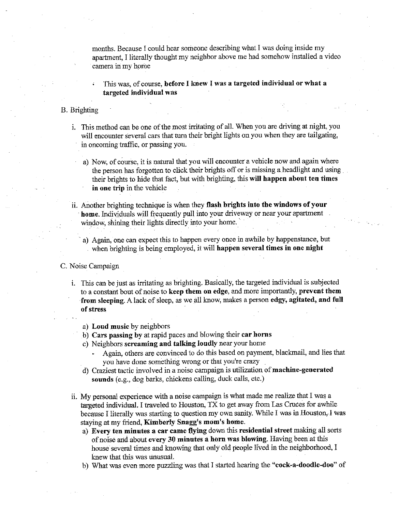months. Because I could hear someone describing what I was doing inside my apartment, I literally thought my neighbor above me had somehow installed a video camera in my home

This was, of course, before I knew I was a targeted individual or what a targeted individual was

## B. Brighting

- 1. This method can be one of the most irritating of all. When you are driving at night, you will encounter several cars that turn their bright lights on you when they are tailgating, in oncoming traffic, or passing you.
	- a) Now, of course, it is natural that you will encounter a vehicle now and again where the person has forgotten to click their brights off or is missing a headlight and using their brights to hide that fact, but with brighting, this will happen about ten times in one trip in the vehicle
- ii. Another brighting technique is when they flash brights into the windows of your home. Individuals will frequently pull into your driveway or near your apartment window, shining their lights directly into your home.
	- a) Again, one can expect this to happen every once in awhile by happenstance, but when brighting is being employed, it will happen several times in one night

C. Noise Campaign

- i. This can be just as irritating as brighting. Basically, the targeted individual is subjected to a constant bout of noise to keep them on edge, and more importantly, prevent them from sleeping. A lack of sleep, as we all know, makes a person edgy, agitated, and full of stress
	- a) Loud music by neighbors
	- b) Cars passing by at rapid paces and blowing their car horns
	- c) Neighbors screaming and talking loudly near your home
		- Again, others are convinced to do this based on payment, blackmail, and lies that you have done something wrong or that you're crazy
	- d) Craziest tactic involved in a noise campaign is utilization of machine-generated sounds (e.g., dog barks, chickens calling, duck calls, etc.)
- ii. My personal experience with a noise campaign is what made me realize that I was a targeted individual. I traveled to Houston, TX to get away from Las Cruces for awhile because I literally was starting to question my own sanity. While I was in Houston, I was staying at my friend, Kimberly Snagg's mom's home.
	- a) Every ten minutes a car came flying down this residential street making all sorts of noise and about every 30 minutes a horn was blowing. Having been at this house several times and knowing that only old people lived in the neighborhood, I knew that this was unusual.
	- b) What was even more puzzling was that I started hearing the "cock-a-doodle-doo" of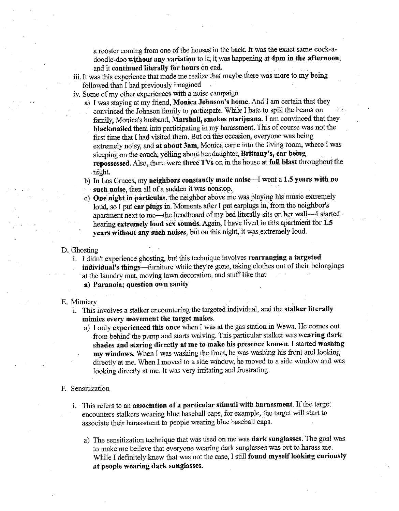a rooster coming from one of the houses in the back. It was the exact same cock-adoodle-doo without any variation to it; it was happening at 4pm in the afternoon; and it continued literally for hours on end.

- iii. It was this experience that made me.realize that maybe 1here was more to my being followed than I had previously imagined
- iv. Some of my other experiences with a noise campaign
	- a) I was staying at my friend, Monica Johnson's home. And I am certain that they convinced the Johnson family to participate. While I hate to spill the beans on family, Monica's husband, Marshall, smokes marijuana. I am convinced that they blackmailed them into participating in my harassment. This of course was not the first time that I had visited them, But on this occasion, everyone was being extremely noisy, and at about 3am, Monica came into the living room, where I was sleeping on the couch, yelling about her daughter, Brittany's, car being repossessed. Also, there were three TVs on in the house at full blast throughout the night.
	- b) In Las Cruces, my neighbors constantly made noise---I went a 1.5 years with no such noise, then all of a sudden it was nonstop.
	- c) One night in particular, the neighbor above me was playing his music extremely loud, so I put ear plugs in. Moments after I put earplugs in, from the neighbor's apartment next to me-the headboard of my bed literally sits on her wall-I started hearing extremely loud sex sounds. Again, I have lived in this apartment for 1.5 years without any such noises, but on this night, it was extremely loud.

### D. Ghosting

i. I didn't experience ghosting, but this technique involves rearranging a targeted individual's things-furniture while they're gone, taking clothes out of their belongings at the laundry mat, moving lawn decoration, and stuff like that a) Paranoia; question own sanity

#### E. Mimicry

- 1. This involves a stalker encountering the targeted individual, and the stalker literally mimics every movement the target makes.
	- a) I only experienced this once when I was at the gas station in Wewa. He comes out from behind the pump and starts waiving. This particular stalker was wearing dark shades and staring directly at me to make his presence known. I started washing my windows. When I was washing the front, he was washing his front and looking directly at me. When I moved to a side window, he moved to a side window and was looking directly at me. It was very irritating and frustrating
- F. Sensitization
	- 1. Ibis refers to an association of a particular stimuli with harassment. If the target encounters stalkers wearing blue baseball caps, for example, the target will start to associate their harassment to people wearing blue baseball caps.
		- a) The sensitization technique that was used on me was dark sunglasses. The goal was to make me believe that everyone wearing dark sunglasses was out to harass me. While I definitely knew that was not the case, I still found myself looking curiously at people wearing dark sunglasses.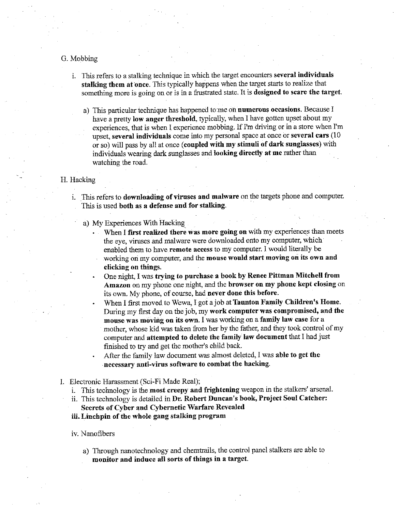## G. Mobbing

- i. This refers to a stalking technique in which the target encounters several individuals stalking them at once. This typically happens when the target starts to realize that something more is going on or is in a frustrated state. It is designed to scare the target.
	- a) This particular technique has happened to me oh numerous occasions. Because I have a pretty low anger threshold, typically, when I have gotten upset about my experiences, that is when I experience mobbing. If I'm driving or in a store when I'm upset, several individuals come into my personal space at once or several cars (10 or so) will pass by all at once ( coupled with my stimuli of dark sunglasses) with individuals wearing dark sunglasses and looking directly at me rather than watching the road.

## H. Hacking

- i. This refers to downloading of viruses and malware on the targets phone and computer. This is used both as a defense and for stalking.
	- a) My Experiences With Hacking\_
		- When I first realized there was more going on with my experiences than meets the eye, viruses and malware were downloaded onto my computer, which enabled them to have remote access to my computer. I would literally be working on my computer, and the mouse would start moving on its own and clicking on things.
		- One night, I was trying to purchase a book by Renee Pittman Mitchell from Amazon on my phone one night, and the browser on my phone kept closing on its own. My phone, of course, had never done this before.
		- When I first moved to Wewa, I got a job at Taunton Family Children's Home. During my first day on the job, my work computer was compromised, and the mouse was moving on its own. I was working on a family law case for a mother, whose kid was taken from her by the father, and they took control of my computer and attempted to delete the family law document that I had just finished to try and get the mother's child back.
		- After the family law document was almost deleted, I was able to get the -necessary anti-virus software to combat the hacking.
- I. Electronic Harassment (Sci-Fi Made Real);
	- i. This technology is the most creepy and frightening weapon in the stalkers' arsenal.
	- ii. This technology is detailed in Dr. Robert Duncan's book, Project Soul Catcher: Secrets of Cyber and Cybernetic Warfare Revealed
	- iii. Linchpin of the whole gang stalking program

#### iv. Nanofibers

a) Through nanotechnology and chemtrails, the control panel stalkers are able to monitor and induce all sorts of things in a target.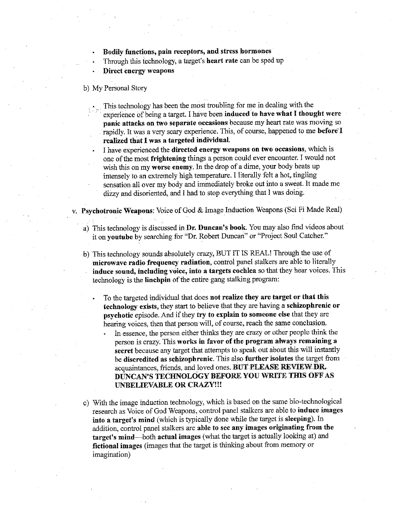- Bodily functions, pain receptors, and stress hormones
- Through this technology, a target's heart rate can be sped up
- Direct energy weapons
- b) My Personal Story
	- This technology has been the most troubling for me in dealing with the experience of being a target. I have been induced to have what I thought were panic attacks on two separate occasions because my heart rate was moving so rapidly. It was a very scary experience. This, of course, happened to me before' I realized that I was a targeted individual.
	- I have experienced the directed energy weapons on two occasions, which is one of the most frightening things a person could ever encounter. I would not wish this on my worse enemy. In the drop of a dime, your body heats up intensely to an extremely high temperature. I literally felt a hot, tingling sensation all over my body and immediately broke out into a sweat. It made me dizzy and disoriented, and I had to stop everything that I was doing.
- Psychotronic Weapons: Voice of God & Image Induction Weapons (Sci Fi Made Real)
	- a) This technology is discussed in Dr. Duncan's book. You may also find videos about it on youtube by searching for "Dr. Robert Duncan" or "Project Soul Catcher."
	- b) This technology sounds absolutely crazy, BUT IT IS REAL! Through the use of microwave radio frequency radiation, control panel stalkers are able to literally induce sound, including voice, into a targets cochlea so that they hear voices. This technology is the linchpin of the entire gang stalking program:
		- To the targeted individual that does not realize they are target or that this technology exists, they start to believe that they are having a schizophrenic or psychotic episode. And if they try to explain to someone else that they are hearing voices, then that person will, of course, reach the same conclusion.
			- In essence, the person either thinks they are crazy or other people think the person is crazy. This works in favor of the program always remaining a secret because any target that attempts to speak out about this will instantly be discredited as schizophrenic. This also further isolates the target from acquaintances, friends, and loved ones. BUT PLEASE REVIEW DR. DUNCAN'S TECHNOLOGY BEFORE YOU WRITE TIDS OFF AS UNBELIEVABLE OR CRAZY!!!
	- c) With the image induction technology, which is based on the same bio-technologica1 research as Voice of God Weapons, control panel stalkers are able to induce images into a target's mind (which is typically done while the target is sleeping). In addition, control panel stalkers are able to see any images originating from the target's mind-both actual images (what the target is actually looking at) and fictional images (images that the target is thinking about from memory or imagination)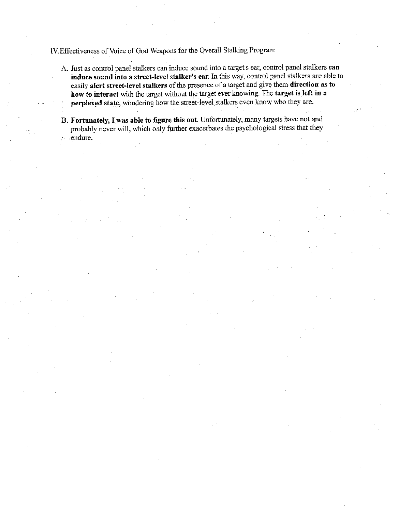# IV.Effectiveness of Voice of God Weapons for the Overall Stalking Program

- A. Just as control panel stalkers can induce sound into a target's ear, control panel stalkers **can induce sound into a street-level stalker's ear.** In this way, control panel stalkers are able to · easily **alert street-level stalkers** of the presence of a target and give them **direction as to how to interact** with the target without the target ever knowing. The **target is left in a**  perplexed state, wondering how the street-level stalkers even know who they are.
- **B. Fortunately, I was able to figure this out.** Unfortunately, many targets have not and probably never will, which only further exacerbates the psychological stress that they ·endure.  $\frac{1}{2}$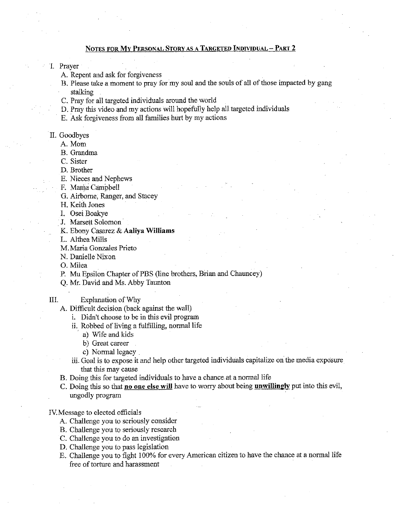## NOTES FOR MY PERSONAL STORY AS A TARGETED INDIVIDUAL- PART 2

I. Prayer

A. Repent and ask for forgiveness

- B. Please take a moment to pray for my soul and the souls of all of those impacted by gang stalking
- C. Pray for all targeted individuals around the world
- D. Pray this video and my actions will hopefully help all.targeted individuals
- E. Ask forgiveness from all families hurt by my actions
- II. Goodbyes
	- A.Mom
	- B. Grandma
	- C. Sister
	- D. Brother
	- E. Nieces and Nephews
	- F. Mama Campbell
	- G. Airborne, Ranger, and Stacey
	- H. Keith Jones
	- I. Osei Boakye
	- J. Marsett Solomon
	- K. Ebony Casarez & Aaliya Williams
	- L. Althea Mills
	- M.Maria Gonzales Prieto
	- N. Danielle Nixon
	- 0. Milea
	- P. Mu Epsilon Chapter of PBS (line brothers, Brian and Chauncey)
	- Q. Mr. David and Ms. Abby Taunton
- !If. Explanation of Why
	- A. Difficult decision (hack against the wall)
		- i. Didn't choose to be in this evil program
			- ii. Robbed of living a fulfilling, normal life
				- a) Wife and kids
				- b) Great career
				- c) Normal legacy .
		- iii. Goal is to expose it and help other targeted individuals capitalize on the media exposure that this may cause
	- B. Doing this for targeted individuals to have a chance at a normal life
	- C. Doing this so that no one else will have to worry about being **unwillingly** put into this evil, ungodly program
- IV.Message to elected officials
	- A. Challenge you to seriously consider
	- B. Challenge you to seriously research
	- C. Challenge you to do an investigation
	- D. Challenge you to pass legislation
	- E. Challenge you to fight 100% for every American citizen to have the chance at a normal life free of torture and harassment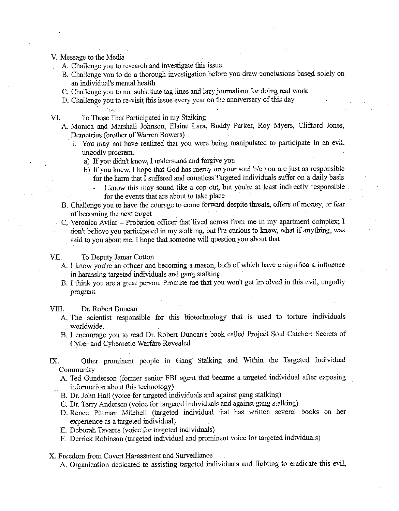- V. Message to the Media
	- A. Challenge you to research and investigate this issue
	- B. Challenge you to do a thorough investigation before you draw conclusions based solely on an individual's mental health
	- C. Challenge you to not substitute tag lines and lazy journalism for doing real work
	- D. Challenge you to re-visit this issue every year on the anniversary of this day

VI. To Those That Participated in my Stalking

.<br>Prizes

- A. Monica and Marshall Johnson, Elaine Lara, Buddy Parker, Roy Myers, Clifford Jones, Demetrius (brother of Warren Bowers)
	- 1. You may not have realized that you were being manipulated to participate in an evil, ungodly program.
		- a) If you didn't know, I understand and forgive you
		- b) If you knew, I hope that God has mercy on your soul b/c you are just as responsible for the harm that I suffered and countless Targeted Individuals suffer on a daily basis
			- I .know this may sound like a cop out, but you're at least indirectly responsible for the events that are about to take place
- B. Challenge you to have the courage to come forward despite threats, offers of money, or fear of becoming the next target
- C, Veronica Avilar Probation officer that lived across from me in my apartment complex; I don't believe you participated in my stalking, but I'm curious to know, what if anything, was . said to you about me. I hope that someone will question you about that

## VII. To Deputy Jamar Cotton

- A. I know you're an officer and becoming a mason, both of which have a significant influence in harassing targeted individuals and gang stalking
- B. I think you are a great person. Promise me that you won't get involved in this evil, ungodly program
- VIII. Dr. Robert Duncan
	- A. The scientist responsible for this biotechoology that is used to torture individuals worldwide.
	- B. I encourage you to read Dr. Robert Duncan's book called Project Soul Catcher: Secrets of Cyber and Cybernetic Warfare Revealed
- IX. Other prominent people in Gang Stalking and Within the Targeted Individual Community
	- A. Ted Gunderson (former senior FBI agent that became a targeted individual after exposing information about this techoology)
	- B. Dr. Joho Hall (voice for targeted individuals and against gang stalking)
	- . C. Dr. Terry Andersen (voice for targeted individuals and against gang stalking)
	- D. Renee Pittman Mitchell (targeted individual that has written several books on her experience as a targeted individual)
	- E. Deborah Tavares (voice for targeted individuals)
	- F. Derrick Robinson (targeted individual and prominent voice for targeted individuals)
- X. Freedom from Covert Harassment and Surveillance
	- A. Organization dedicated to assisting targeted individuals and fighting to eradicate this evil,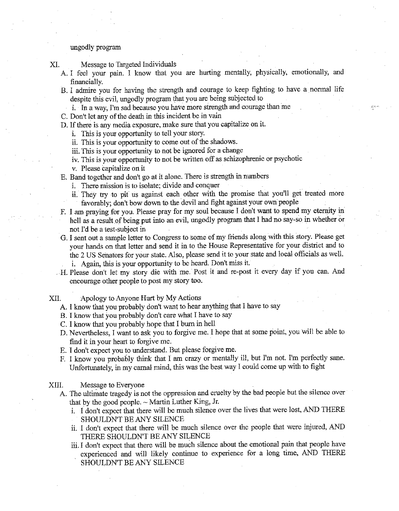### ungodly program

XI. Message to Targeted Individuals

- A. I feel your pain. I know that you are hurting mentally, physically, emotionally, and financially.
- B. I admire you for having the strength and courage to keep fighting to have a normal life despite this evil, ungodly program that you are being subjected to
- i. In a way, I'm sad because you have more strength and courage than me
- C. Don't let any of the death in this incident be in vain
- D. If there is any media exposure, make sure that you capitalize on it.
	- i. This is your opportunity to tell your story.
	- ii. This is your opportunity to come out of the shadows.
	- iii. This is your opportunity to not be ignored for a change
	- iv, This is your opportunity to not be written off as schizophrenic or psychotic

v. Please capitalize on it

- E. Band together and don't go at it alone. There is strength in numbers
	- i. There mission is to isolate; divide and conquer
	- ii. They try to pit us against each other with the promise that you'll get treated more favorably; don't bow down to the devil and fight against your own people
- F. I am praying for you. Please pray for my soul because I don't want to spend my eternity in hell as a result of being put into an evil, ungodly program that I had no say-so in whether or not I'd be a test-subject in
- G. I sent out a sample letter to Congress to some of my friends along with this story. Please get your hands on that letter and send it in to the House Representative for your district and to the 2 US Senators for your state. Also, please send it to your state and local officials as well. i. Again, this is your opportunity to be heard. Don't miss it.
- . H. Please don't let my story die with me. Post it and re-post it every day if you can. And encourage other people to post my story too.
- XII. Apology to Anyone Hurt by My Actions
	- A. I know that you probably don't want to hear anything that I have to say
	- B. I know that you probably don't care what I have to say
	- C. I know that you probably hope that I burn in hell
	- D. Nevertheless, I want to ask you to forgive me. I hope that at some point, you will be able to find it in your heart to forgive me.
	- E. I don't expect you to understand. But please forgive me.
	- F. I know you probably think that I am crazy or mentally ill, but I'm not. I'm perfectly sane. Unfortunately, in my carnal mind, this was the best way I could come up with to fight

#### XIII. Message to Everyone

- A. The ultimate tragedy is not the oppression and cruelty by the bad people but the silence over that by the good people.  $\sim$  Martin Luther King, Jr.
	- i. I don't expect that there will be much silence over the lives that were Jost, AND THERE SHOULDN'T BE ANY SILENCE
	- ii. I don't expect that there will be much silence over the people that were injured, AND THERE SHOULDN'T BE ANY SILENCE
	- iii. I don't expect that there will be much silence about the emotional pain that people have experienced and will likely continue to experience for a long time, AND THERE SHOULDN'T BE ANY SILENCE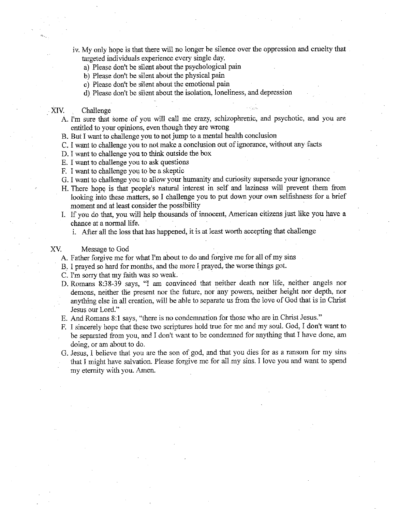- iv. My only hope is that there will no longer be silence over the oppression and cruelty that targeted individuals experience every single day.
	- a) Please don't be silent about the psychological pain
	- b) Please don't be silent about the physical pain
	- c) Please don't be silent about the emotional pain
	- d) Please don't be silent about the isolation, loneliness, and depression

#### XIV. Challenge

- A. I'm sure that some of you will call me crazy, schizophrenic, and psychotic, and you are entitled to your opinions, even though they are wrong
- B. But I want to challenge you to not jump to a mental health conclusion
- C. I want to challenge you to not make a conclusion out of ignorance, without any facts
- D. I want to challenge you to think outside the box
- E. I want to challenge you to ask questions
- F. I want to challenge you to be a skeptic
- G. I want to challenge you to allow your humanity and curiosity supersede your ignorance
- H. There hope is that people's natural interest in self and laziness will prevent them from looking into these matters, so I challenge you to put down your own selfishness for a brief moment and at least consider the possibility
- I. If you do that, you will help thousands of innocent, American citizens just like you have a chance at a normal life.
	- i. After all the loss that has happened, it is at least worth accepting that challenge

## XV. Message to God

- A. Father forgive me for what I'm about to do and forgive me for all of my sins
- B. I prayed so hard for months, and the more I prayed, the worse things got.
- C. I'm sorry that my faith was so weak.
- D. Romans 8:38-39 says, "I am convinced that neither death nor life, neither angels nor demons, neither the present nor the future, nor any powers, neither height nor depth, nor anything else in all creation, will be able to separate us from the love of God that is in Christ Jesus our Lord."
- E. And Romans 8:1 says, "there is no condemnation for those who are in Christ Jesus."
- F. I sincerely hope that these two scriptures hold true for me and my soul. God, I don't want to be separated from you, and I don't want to be condemned for anything that I have done, am doing, or am about to do.
- G. Jesus, I believe that you are the son of god, and that you dies for as a ransom for my sins that I might have salvation. Please forgive me for all my sins. I love you and want to spend my eternity with you. Amen.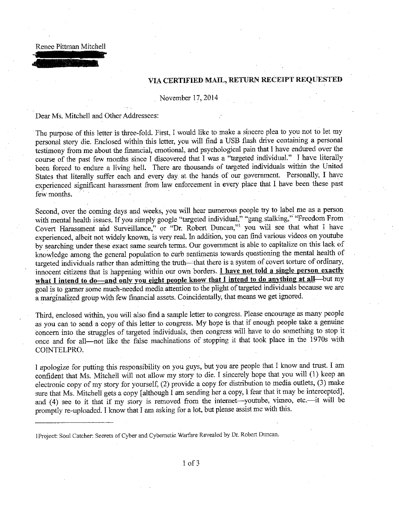Renee Pittman Mitchell

## VIA CERTIFIED MAIL, RETURN RECEIPT REQUESTED

November 17, 2014

Dear Ms. Mitchell and Other Addressees:

The purpose of this letter is three-fold. First, I would like to make a sincere plea to you not to let my personal story die. Enclosed within this letter, you will find a USB flash drive containing a personal testimony from me about the financial, emotional, and psychological pain that I have endured over the course of the past few months since I discovered that I was a "targeted individual." I have literally been forced to endure a living hell. There are thousands of targeted individuals within the United States that literally suffer each and every day at the hands of our govermnent. Personally, I have experienced significant harassment from law enforcement in every place that I have been these past few months.

Second, over the coming days and weeks, you will hear numerous people try to label me as a person with mental health issues. If you simply google "targeted individual," "gang stalking," "Freedom From Covert Harassment and Surveillance," or "Dr. Robert Duncan,"<sup>1</sup> you will see that what I have experienced, albeit not widely known, is very real. In addition, you can find various videos on youtube by searching under these exact same search terms. Our government is able to capitalize on this lack of knowledge among the general population to curb sentiments towards questioning the mental health of targeted individuals rather than admitting the truth-that there is a system of covert torture of ordinary, innocent citizens that is happening within our own borders. I have not told a single person exactly what I intend to do—and only you eight people know that I intend to do anything at all—but my goal is to gamer some much-needed media attention to the pliglit of targeted individuals because we are a marginalized group with few financial assets. Coincidentally, that means we get ignored.

Third, enclosed within, you will also find a sample letter to congress. Please encourage as many people as you can to send a copy of this letter to congress. My hope is that if enough people take a genuine concern into the struggles of targeted individuals, then congress will have to do something to stop it once and for all-not like the false machinations of stopping it that took place in the 1970s with COINTELPRO.

I apologize for putting this responsibility on you guys, but you are people that I know and trust. I am confident that Ms. Mitchell will not allow my story to die. I sincerely hope that you will (1) keep an electronic copy of my story for yourself, (2) provide a copy for distribution to media outlets, (3) make sure that Ms. Mitchell gets a copy [although I am sending her a copy, I fear that it may be intercepted], and (4) see to it that if my story is removed from the internet-youtube, vimeo, etc.---it will be promptly re-uploaded. I know that I am asking for a lot, but please assist me with this.

I Project: Soul Catcher: Secrets of Cyber and Cybernetic Warfare Revealed by Dr. Robert Duncan.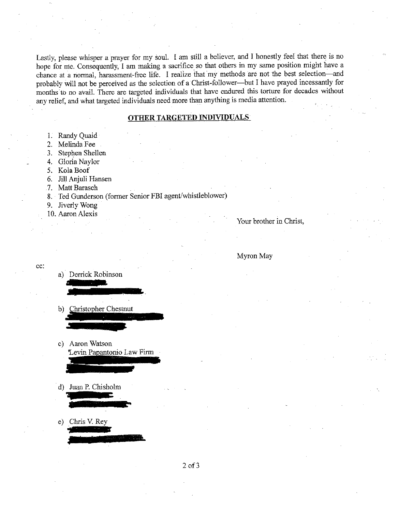Lastly, please whisper a prayer for my soul. I am still a believer, and I honestly feel that there is no hope for me. Consequently, I am making a sacrifice so that others in my same position might have a chance at a normal, harassment-free life. I realize that my methods are not the best selection-and probably will not be perceived as the selection of a Christ-follower-but I have prayed incessantly for months to no avail. There are targeted individuals that have endured this torture for decades without any relief, and what targeted individuals need more than anything is media attention.

## **OTHER TARGETED INDIVIDUALS**

- 1. Randy Quaid
- 2. Melinda Fee
- 3. Stephen Shellen
- 4. Gloria Naylor
- 5. KolaBoof
- 6. Jill Anjuli Hansen
- 7. Matt Barasch
- 8. Ted Gunderson (former Senior FBI agent/whistleblower)
- 9. Jiverly Wong
- 10. Aaron Alexis

cc:

Your brother in Christ,

#### Myron May

- a) Derrick Robinson b) Christopher Chestnut c) Aaron Watson Levin Papantonio Law Firm
	- · d) Jnan P. Chisholm
	- e) Chris V. Rey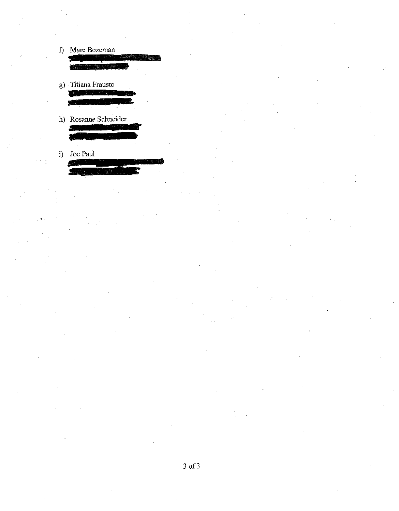- f) Marc Bozeman
- g) Titiana Frausto
- h) Rosanne Schneider Ś
- i) Joe Paul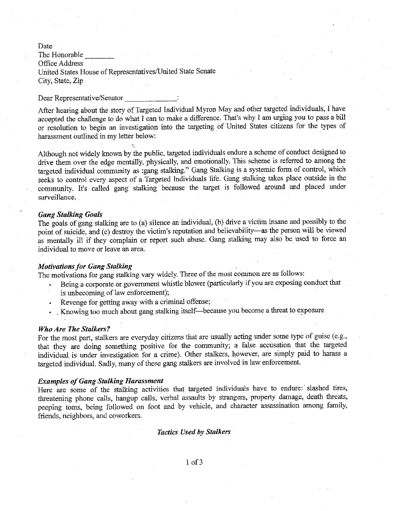Date

The Honorable<br>Office Address United States House of Representatives/United State Senate City, State, Zip

### Dear Representative/Senator

After hearing about the story of Targeted Individual Myron May and other targeted individuals, I have accepted the challenge to do what I can to make a difference. That's why I am urging you to pass a bill or resolution to begin an investigation into the targeting of United States citizens for the types of harassment outlined in my letter below:

Although not widely known by the public, targeted individuals endure a scheme of conduct designed to drive them over the edge mentally, physically, and emotionally. This scheme is referred to among the targeted individual community as :gang stalking." Gang Stalking is a systemic form of control, Which seeks to control every aspect of a Targeted Individuals life. Gang stalking takes place outside in the community. It's called gang stalking because the target is followed around and placed under surveillance.

### *Gang Stalking Goals*

The goals of gang stalking are to (a) silence an individual, (b) drive a victim insane and possibly to the point of suicide, and (c) destroy the victim's reputation and believability-as the person will be viewed as mentally ill if they complain or report such abuse. Gang stalking may also be used to force an individual to move or leave an area.

## *Motivations for Gang Stalking*

The motivations for gang stalking vary widely. Three of the most common are as follows:

- Being a corporate or government whistle blower (particularly if you are exposing conduct that is unbecoming of law enforcement);
- Revenge for getting away with a criminal offense;
- Knowing too much about gang stalking itself-because you become a threat to exposure

#### *Who Are The Stalkers?*

For the most part, stalkers are everyday citizens that are usually acting under some type of guise (e.g., that they are doing something positive for the community; a false accusation that the targeted individual is under investigation for a crime). Other stalkers, however, are simply paid to harass a targeted individual. Sadly, many of these gang stalkers are involved in Jaw enforcement.

#### *Examples of Gang Stalking Harassment*

Here are some of the stalking activities that targeted individuals have to endure: slashed tires, threatening phone calls, hangup calls, verbal assaults by strangers, property damage, death threats, peeping toms, being followed on foot and by vehicle, and character assassination among family, friends, neighbors, and coworkers.

#### *Tactics Used by Stalkers*

1 of3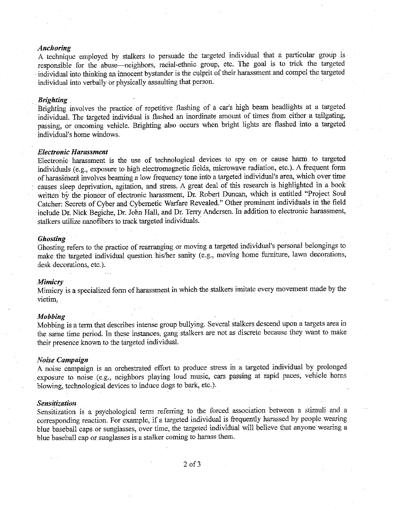## *Anchoring*

A technique employed by stalkers to persuade tbe targeted individual tbat a particular group is responsible for the abuse--neighbors, racial-ethnic group, etc. The goal is to trick the targeted individual into thinking an innocent bystander is the culprit of their harassment and compel the targeted individual into verbally or physically assaulting tbat person.

### *Brighting*

Brighting involves the practice of repetitive flashing of a car's high beam headlights at a targeted individual. The targeted individual is flashed an inordinate amount of times from either a tailgating, passing, or oncoming vehicle. Brighting also occurs when bright lights are flashed into a targeted individual's home windows.

#### *Electronic Harassment*

Electronic harassment is tbe use of technological devices to spy on or cause harm to targeted individuals (e.g., exposure to high electromagnetic fields, microwave radiation, etc.). A frequent form of harassment involves beaming a low frequency tone info a targeted individual's area, which over time causes sleep deprivation, agitation, and stress. A great deal of this research is highlighted in a book written by the pioneer of electronic harassment, Dr. Robert Duncan, which is entitled "Project Soul Catcher: Secrets of Cyber and Cybernetic Warfare Revealed." Other prominent individuals in the field include Dr. Nick Begiche, Dr. John Hall, and Dr. Terry Andersen. In addition to electronic harassment, stalkers utilize nanofibers to track targeted individuals.

#### *Ghosting*

Ghosting refers to the practice of rearranging or moving a targeted individual's personal belongings to make the targeted individual question his/her sanity (e.g., moving home furniture, lawn decorations, desk decorations, etc.).

### *Mimicry*

Mimicry is a specialized form of harassment in which the stalkers imitate every movement made by the victim.

#### *Mobbing*

Mobbing is a term that describes intense group bullying. Several stalkers descend upon a targets area in the same time period. In tbese instances, gang stalkers are not as discrete because they want to make their presence known to tbe targeted individual.

### *Noise Campaign*

A noise campaign is an orchestrated effort to produce stress in a targeted individual by prolonged exposure to noise (e.g., neighbors playing loud music, cars passing at rapid paces, vehicle horns blowing, technological devices to induce dogs to bark, etc.).

#### *Sensitization*

Sensitization is a psychological term referring to tbe forced association between a stimuli and a corresponding reaction. For example, if a targeted individual is frequently harassed by people wearing blue baseball caps or sunglasses, over time, the targeted individual will believe tbat anyone wearing a blue baseball cap or sunglasses is a stalker coming to harass them.

2 of 3